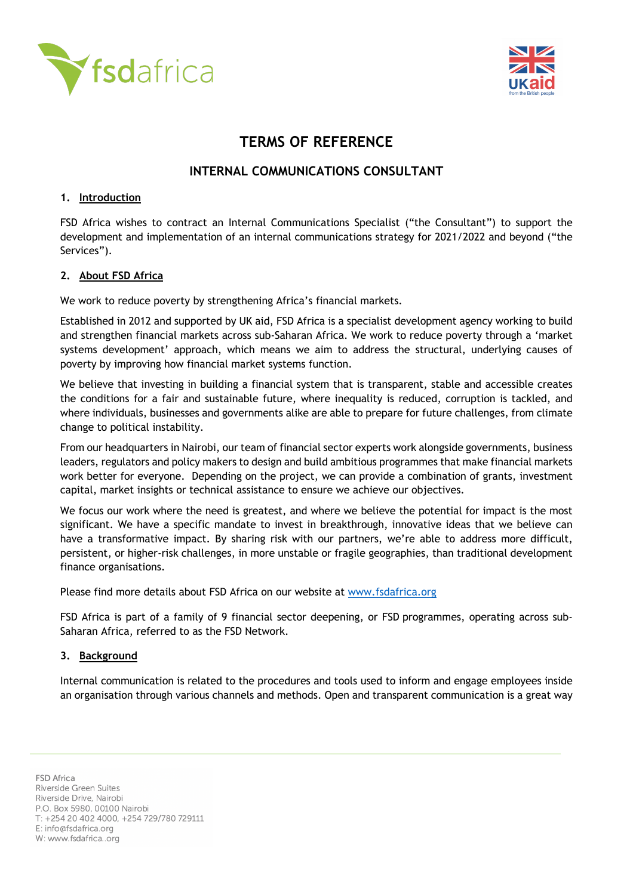



# **TERMS OF REFERENCE**

## **INTERNAL COMMUNICATIONS CONSULTANT**

#### **1. Introduction**

FSD Africa wishes to contract an Internal Communications Specialist ("the Consultant") to support the development and implementation of an internal communications strategy for 2021/2022 and beyond ("the Services").

#### **2. About FSD Africa**

We work to reduce poverty by strengthening Africa's financial markets.

Established in 2012 and supported by UK aid, FSD Africa is a specialist development agency working to build and strengthen financial markets across sub-Saharan Africa. We work to reduce poverty through a 'market systems development' approach, which means we aim to address the structural, underlying causes of poverty by improving how financial market systems function.

We believe that investing in building a financial system that is transparent, stable and accessible creates the conditions for a fair and sustainable future, where inequality is reduced, corruption is tackled, and where individuals, businesses and governments alike are able to prepare for future challenges, from climate change to political instability.

From our headquarters in Nairobi, our team of financial sector experts work alongside governments, business leaders, regulators and policy makers to design and build ambitious programmes that make financial markets work better for everyone. Depending on the project, we can provide a combination of grants, investment capital, market insights or technical assistance to ensure we achieve our objectives.

We focus our work where the need is greatest, and where we believe the potential for impact is the most significant. We have a specific mandate to invest in breakthrough, innovative ideas that we believe can have a transformative impact. By sharing risk with our partners, we're able to address more difficult, persistent, or higher-risk challenges, in more unstable or fragile geographies, than traditional development finance organisations.

Please find more details about FSD Africa on our website at www.fsdafrica.org

FSD Africa is part of a family of 9 financial sector deepening, or FSD programmes, operating across sub-Saharan Africa, referred to as the FSD Network.

#### **3. Background**

Internal communication is related to the procedures and tools used to inform and engage employees inside an organisation through various channels and methods. Open and transparent communication is a great way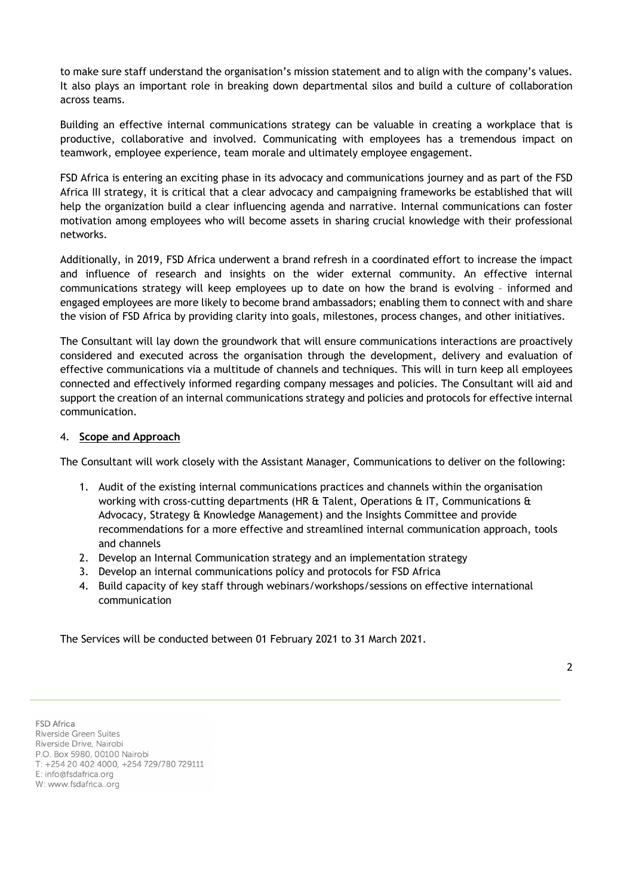to make sure staff understand the organisation's mission statement and to align with the company's values. It also plays an important role in breaking down departmental silos and build a culture of collaboration across teams.

Building an effective internal communications strategy can be valuable in creating a workplace that is productive, collaborative and involved. Communicating with employees has a tremendous impact on teamwork, employee experience, team morale and ultimately employee engagement.

FSD Africa is entering an exciting phase in its advocacy and communications journey and as part of the FSD Africa III strategy, it is critical that a clear advocacy and campaigning frameworks be established that will help the organization build a clear influencing agenda and narrative. Internal communications can foster motivation among employees who will become assets in sharing crucial knowledge with their professional networks.

Additionally, in 2019, FSD Africa underwent a brand refresh in a coordinated effort to increase the impact and influence of research and insights on the wider external community. An effective internal communications strategy will keep employees up to date on how the brand is evolving – informed and engaged employees are more likely to become brand ambassadors; enabling them to connect with and share the vision of FSD Africa by providing clarity into goals, milestones, process changes, and other initiatives.

The Consultant will lay down the groundwork that will ensure communications interactions are proactively considered and executed across the organisation through the development, delivery and evaluation of effective communications via a multitude of channels and techniques. This will in turn keep all employees connected and effectively informed regarding company messages and policies. The Consultant will aid and support the creation of an internal communications strategy and policies and protocols for effective internal communication.

#### 4. **Scope and Approach**

The Consultant will work closely with the Assistant Manager, Communications to deliver on the following:

- 1. Audit of the existing internal communications practices and channels within the organisation working with cross-cutting departments (HR & Talent, Operations & IT, Communications & Advocacy, Strategy & Knowledge Management) and the Insights Committee and provide recommendations for a more effective and streamlined internal communication approach, tools and channels
- 2. Develop an Internal Communication strategy and an implementation strategy
- 3. Develop an internal communications policy and protocols for FSD Africa
- 4. Build capacity of key staff through webinars/workshops/sessions on effective international communication

The Services will be conducted between 01 February 2021 to 31 March 2021.

**FSD Africa** Riverside Green Suites Riverside Drive, Nairobi P.O. Box 5980, 00100 Nairobi T: +254 20 402 4000, +254 729/780 729111 E: info@fsdafrica.org W: www.fsdafrica..org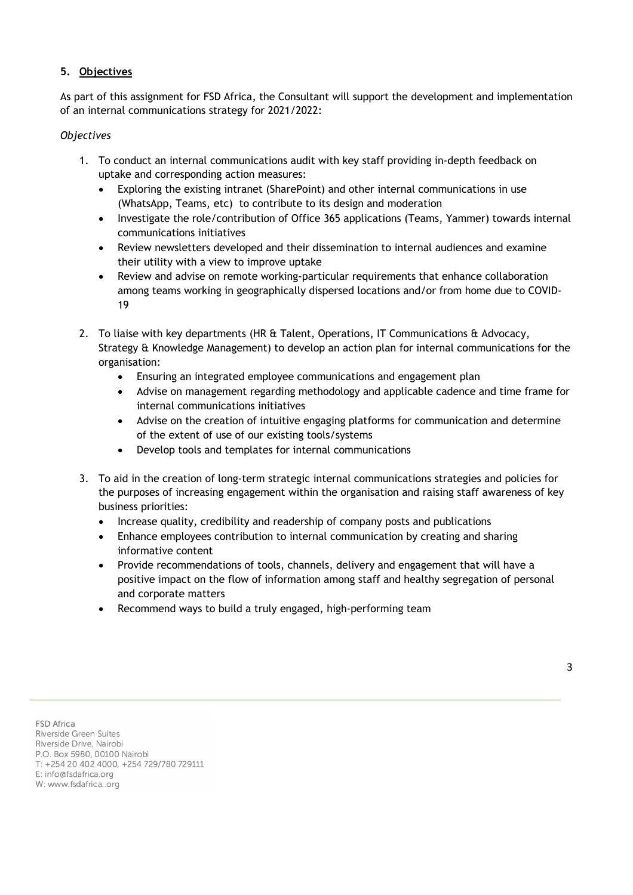### **5. Objectives**

As part of this assignment for FSD Africa, the Consultant will support the development and implementation of an internal communications strategy for 2021/2022:

#### *Objectives*

- 1. To conduct an internal communications audit with key staff providing in-depth feedback on uptake and corresponding action measures:
	- Exploring the existing intranet (SharePoint) and other internal communications in use (WhatsApp, Teams, etc) to contribute to its design and moderation
	- Investigate the role/contribution of Office 365 applications (Teams, Yammer) towards internal communications initiatives
	- Review newsletters developed and their dissemination to internal audiences and examine their utility with a view to improve uptake
	- Review and advise on remote working-particular requirements that enhance collaboration among teams working in geographically dispersed locations and/or from home due to COVID-19
- 2. To liaise with key departments (HR & Talent, Operations, IT Communications & Advocacy, Strategy & Knowledge Management) to develop an action plan for internal communications for the organisation:
	- Ensuring an integrated employee communications and engagement plan
	- Advise on management regarding methodology and applicable cadence and time frame for internal communications initiatives
	- Advise on the creation of intuitive engaging platforms for communication and determine of the extent of use of our existing tools/systems
	- Develop tools and templates for internal communications
- 3. To aid in the creation of long-term strategic internal communications strategies and policies for the purposes of increasing engagement within the organisation and raising staff awareness of key business priorities:
	- Increase quality, credibility and readership of company posts and publications
	- Enhance employees contribution to internal communication by creating and sharing informative content
	- Provide recommendations of tools, channels, delivery and engagement that will have a positive impact on the flow of information among staff and healthy segregation of personal and corporate matters
	- Recommend ways to build a truly engaged, high-performing team

**FSD Africa** Riverside Green Suites Riverside Drive, Nairobi P.O. Box 5980, 00100 Nairobi T: +254 20 402 4000, +254 729/780 729111

E: info@fsdafrica.org W: www.fsdafrica..org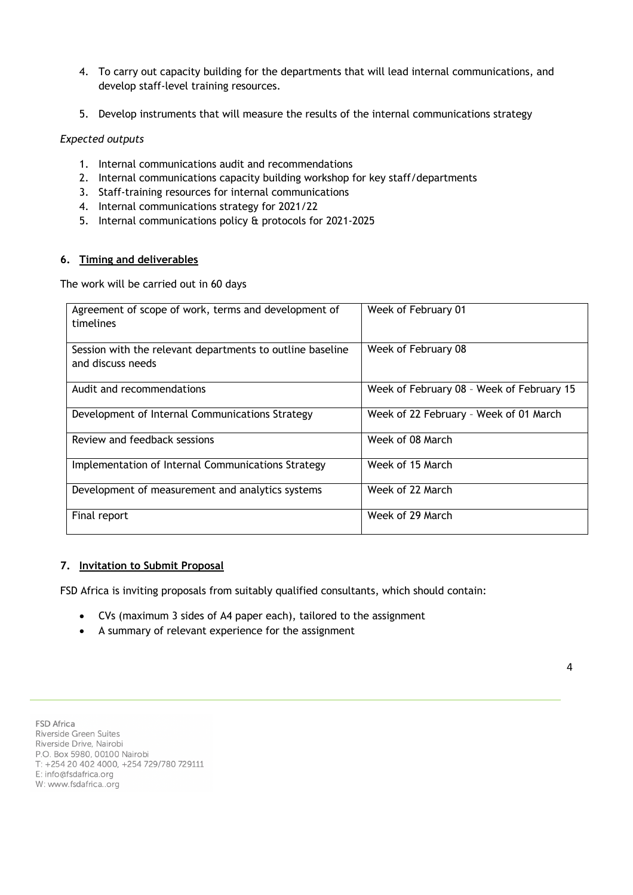- 4. To carry out capacity building for the departments that will lead internal communications, and develop staff-level training resources.
- 5. Develop instruments that will measure the results of the internal communications strategy

#### *Expected outputs*

- 1. Internal communications audit and recommendations
- 2. Internal communications capacity building workshop for key staff/departments
- 3. Staff-training resources for internal communications
- 4. Internal communications strategy for 2021/22
- 5. Internal communications policy & protocols for 2021-2025

#### **6. Timing and deliverables**

The work will be carried out in 60 days

| Agreement of scope of work, terms and development of      | Week of February 01                       |
|-----------------------------------------------------------|-------------------------------------------|
| timelines                                                 |                                           |
|                                                           |                                           |
|                                                           |                                           |
| Session with the relevant departments to outline baseline | Week of February 08                       |
|                                                           |                                           |
| and discuss needs                                         |                                           |
|                                                           |                                           |
|                                                           |                                           |
| Audit and recommendations                                 | Week of February 08 - Week of February 15 |
|                                                           |                                           |
|                                                           |                                           |
| Development of Internal Communications Strategy           | Week of 22 February - Week of 01 March    |
|                                                           |                                           |
| Review and feedback sessions                              | Week of 08 March                          |
|                                                           |                                           |
|                                                           |                                           |
| Implementation of Internal Communications Strategy        | Week of 15 March                          |
|                                                           |                                           |
|                                                           |                                           |
| Development of measurement and analytics systems          | Week of 22 March                          |
|                                                           |                                           |
|                                                           |                                           |
| Final report                                              | Week of 29 March                          |
|                                                           |                                           |
|                                                           |                                           |

#### **7. Invitation to Submit Proposal**

FSD Africa is inviting proposals from suitably qualified consultants, which should contain:

- CVs (maximum 3 sides of A4 paper each), tailored to the assignment
- A summary of relevant experience for the assignment

**FSD Africa** Riverside Green Suites Riverside Drive, Nairobi P.O. Box 5980, 00100 Nairobi T: +254 20 402 4000, +254 729/780 729111 E: info@fsdafrica.org W: www.fsdafrica..org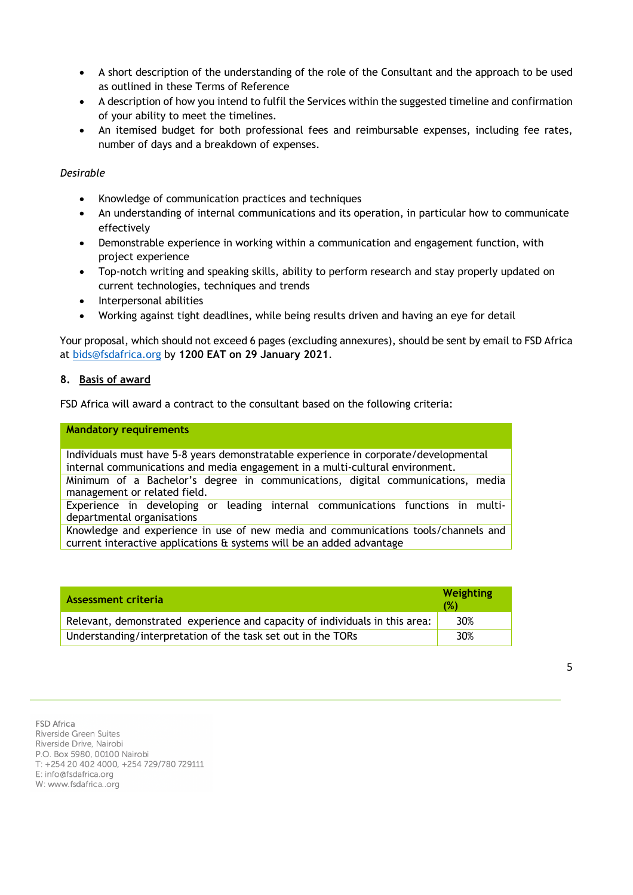- A short description of the understanding of the role of the Consultant and the approach to be used as outlined in these Terms of Reference
- A description of how you intend to fulfil the Services within the suggested timeline and confirmation of your ability to meet the timelines.
- An itemised budget for both professional fees and reimbursable expenses, including fee rates, number of days and a breakdown of expenses.

#### *Desirable*

- Knowledge of communication practices and techniques
- An understanding of internal communications and its operation, in particular how to communicate effectively
- Demonstrable experience in working within a communication and engagement function, with project experience
- Top-notch writing and speaking skills, ability to perform research and stay properly updated on current technologies, techniques and trends
- Interpersonal abilities
- Working against tight deadlines, while being results driven and having an eye for detail

Your proposal, which should not exceed 6 pages (excluding annexures), should be sent by email to FSD Africa at bids@fsdafrica.org by **1200 EAT on 29 January 2021**.

#### **8. Basis of award**

FSD Africa will award a contract to the consultant based on the following criteria:

#### **Mandatory requirements**

Individuals must have 5-8 years demonstratable experience in corporate/developmental internal communications and media engagement in a multi-cultural environment. Minimum of a Bachelor's degree in communications, digital communications, media management or related field.

Experience in developing or leading internal communications functions in multidepartmental organisations

Knowledge and experience in use of new media and communications tools/channels and current interactive applications & systems will be an added advantage

| Assessment criteria                                                         | Weighting<br>(%) |
|-----------------------------------------------------------------------------|------------------|
| Relevant, demonstrated experience and capacity of individuals in this area: | 30%              |
| Understanding/interpretation of the task set out in the TORs                | 30%              |

#### **FSD Africa**

Riverside Green Suites Riverside Drive, Nairobi P.O. Box 5980, 00100 Nairobi T: +254 20 402 4000, +254 729/780 729111  $F$ : info@fsdafrica org W: www.fsdafrica..org